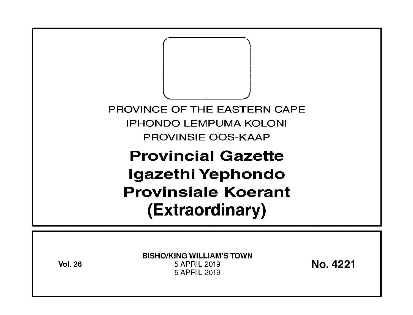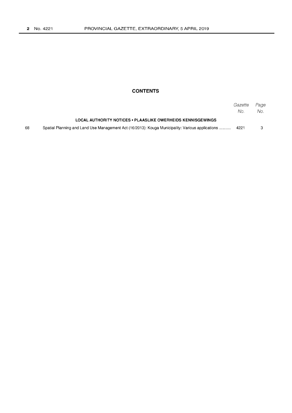# **CONTENTS**

|    |                                                                                                  | Gazette<br>No. | Page<br>No. . |
|----|--------------------------------------------------------------------------------------------------|----------------|---------------|
|    | LOCAL AUTHORITY NOTICES • PLAASLIKE OWERHEIDS KENNISGEWINGS                                      |                |               |
| 68 | Spatial Planning and Land Use Management Act (16/2013): Kouga Municipality: Various applications | 4221           |               |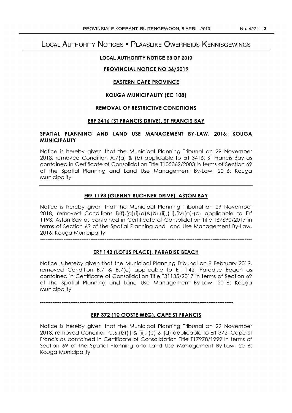# **LOCAL AUTHORITY NOTICES • PLAASLIKE OWERHEIDS KENNISGEWINGS**

## **LOCAL AUTHORITY NOTICE 68 OF 2019**

# **PROVINCIAL NOTICE NO 36/2019**

## **EASTERN CAPE PROVINCE**

## **KOUGA MUNICIPALITY (EC 108)**

## **REMOVAL OF RESTRICTIVE CONDITIONS**

#### **ERF 3416 (ST FRANCIS DRIVE), ST FRANCIS BAY**

## **SPATIAL PLANNING AND LAND USE MANAGEMENT BY-LAW, 2016: KOUGA MUNICIPALITY**

Notice is hereby given that the Municipal Planning Tribunal on 29 November 2018, removed Condition A.7(a) & (b) applicable to Erf 3416, St Francis Bay as contained in Certificate of Consolidation Title Tl 05362/2003 in terms of Section 69 of the Spatial Planning and Land Use Management By-Law, 2016: Kouga **Municipality** 

#### **ERF 1193 (GLENNY BUCHNER DRIVE), ASTON BAY**

Notice is hereby given that the Municipal Planning Tribunal on 29 November 2018, removed Conditions B(f),(g) (i) (a) &(b),(ii),(iii),(iv) (a)-(c) applicable to Erf 1193, Aston Bay as contained in Certificate of Consolidation Title T67690/2017 in terms of Section 69 of the Spatial Planning and Land Use Management By-Law, 2016: Kouga Municipality

# **ERF 142 (LOTUS PLACE), PARADISE BEACH**

Notice is hereby given that the Municipal Planning Tribunal on 8 February 2019, removed Condition B.7 & B.7(a) applicable to Erf 142, Paradise Beach as contained in Certificate of Consolidation Title T31135/2017 in terms of Section 69 of the Spatial Planning and Land Use Management By-Law, 2016: Kouga **Municipality** 

#### **ERF 372 (10 OOSTE WEG), CAPE ST FRANCIS**

Notice is hereby given that the Municipal Planning Tribunal on 29 November 2018, removed Condition C.6.(b) (i) & (ii); (c) & (d) applicable to Erf 372, Cape St Francis as contained in Certificate of Consolidation Title Tl7978/1999 in terms of Section 69 of the Spatial Planning and Land Use Management By-Law, 2016: Kouga Municipality